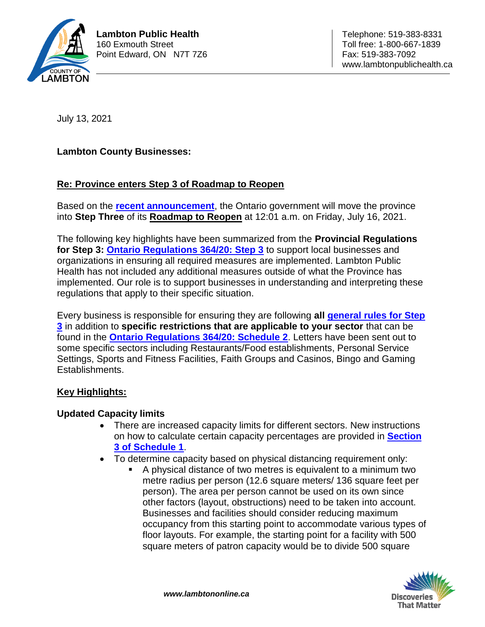

July 13, 2021

**Lambton County Businesses:**

### **Re: Province enters Step 3 of Roadmap to Reopen**

Based on the **[recent announcement](https://news.ontario.ca/en/release/1000501/ontario-moving-to-step-three-of-roadmap-to-reopen-on-july-16)**, the Ontario government will move the province into **Step Three** of its **[Roadmap to Reopen](https://www.ontario.ca/page/reopening-ontario)** at 12:01 a.m. on Friday, July 16, 2021.

The following key highlights have been summarized from the **Provincial Regulations for Step 3: [Ontario Regulations 364/20: Step 3](https://www.ontario.ca/laws/regulation/200364)** to support local businesses and organizations in ensuring all required measures are implemented. Lambton Public Health has not included any additional measures outside of what the Province has implemented. Our role is to support businesses in understanding and interpreting these regulations that apply to their specific situation.

Every business is responsible for ensuring they are following **all [general rules for Step](https://www.ontario.ca/laws/regulation/200364#BK3)  [3](https://www.ontario.ca/laws/regulation/200364#BK3)** in addition to **specific restrictions that are applicable to your sector** that can be found in the **[Ontario Regulations 364/20: Schedule 2](https://www.ontario.ca/laws/regulation/200364#BK4)**. Letters have been sent out to some specific sectors including Restaurants/Food establishments, Personal Service Settings, Sports and Fitness Facilities, Faith Groups and Casinos, Bingo and Gaming Establishments.

### **Key Highlights:**

#### **Updated Capacity limits**

- There are increased capacity limits for different sectors. New instructions on how to calculate certain capacity percentages are provided in **[Section](https://www.ontario.ca/laws/regulation/200364#BK3) [3 of Schedule 1](https://www.ontario.ca/laws/regulation/200364#BK3)**.
- To determine capacity based on physical distancing requirement only:
	- A physical distance of two metres is equivalent to a minimum two metre radius per person (12.6 square meters/ 136 square feet per person). The area per person cannot be used on its own since other factors (layout, obstructions) need to be taken into account. Businesses and facilities should consider reducing maximum occupancy from this starting point to accommodate various types of floor layouts. For example, the starting point for a facility with 500 square meters of patron capacity would be to divide 500 square

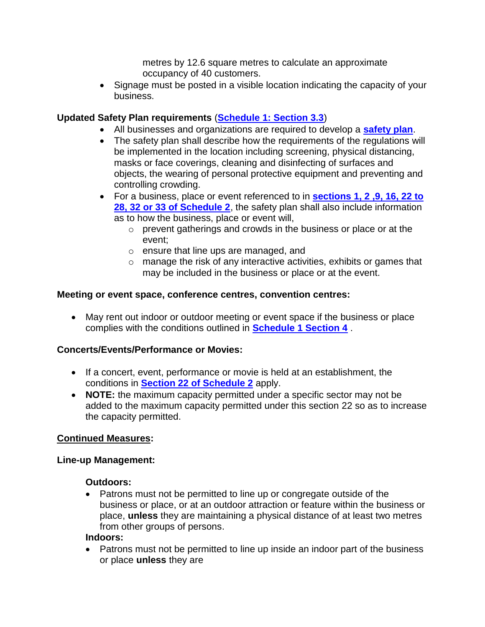metres by 12.6 square metres to calculate an approximate occupancy of 40 customers.

• Signage must be posted in a visible location indicating the capacity of your business.

## **Updated Safety Plan requirements** (**[Schedule 1: Section 3.3](https://www.ontario.ca/laws/regulation/200263#BK3)**)

- All businesses and organizations are required to develop a **[safety plan](https://www.ontario.ca/page/develop-your-covid-19-workplace-safety-plan)**.
- The safety plan shall describe how the requirements of the regulations will be implemented in the location including screening, physical distancing, masks or face coverings, cleaning and disinfecting of surfaces and objects, the wearing of personal protective equipment and preventing and controlling crowding.
- For a business, place or event referenced to in **[sections 1, 2 ,9, 16, 22 to](https://www.ontario.ca/laws/regulation/200364#BK4)  [28, 32 or 33 of Schedule 2](https://www.ontario.ca/laws/regulation/200364#BK4)**, the safety plan shall also include information as to how the business, place or event will,
	- o prevent gatherings and crowds in the business or place or at the event;
	- o ensure that line ups are managed, and
	- o manage the risk of any interactive activities, exhibits or games that may be included in the business or place or at the event.

### **Meeting or event space, conference centres, convention centres:**

 May rent out indoor or outdoor meeting or event space if the business or place complies with the conditions outlined in **[Schedule 1 Section 4](https://www.ontario.ca/laws/regulation/200364#BK3)** .

### **Concerts/Events/Performance or Movies:**

- If a concert, event, performance or movie is held at an establishment, the conditions in **[Section 22 of Schedule 2](https://www.ontario.ca/laws/regulation/200364#BK4)** apply.
- **NOTE:** the maximum capacity permitted under a specific sector may not be added to the maximum capacity permitted under this section 22 so as to increase the capacity permitted.

#### **Continued Measures:**

#### **Line-up Management:**

#### **Outdoors:**

 Patrons must not be permitted to line up or congregate outside of the business or place, or at an outdoor attraction or feature within the business or place, **unless** they are maintaining a physical distance of at least two metres from other groups of persons.

#### **Indoors:**

• Patrons must not be permitted to line up inside an indoor part of the business or place **unless** they are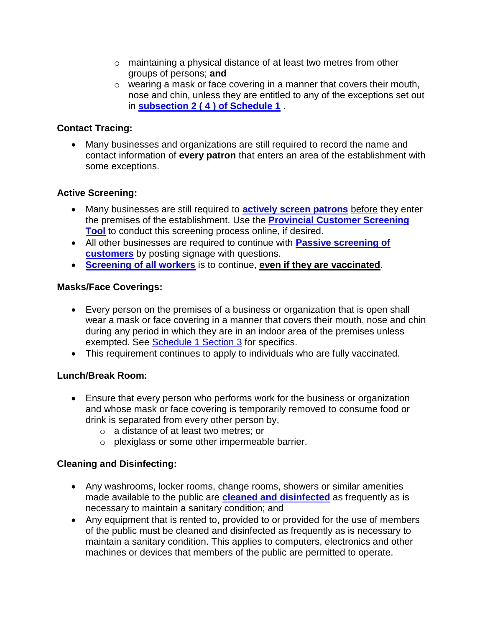- o maintaining a physical distance of at least two metres from other groups of persons; **and**
- o wearing a mask or face covering in a manner that covers their mouth, nose and chin, unless they are entitled to any of the exceptions set out in **[subsection 2 \( 4 \) of Schedule 1](https://www.ontario.ca/laws/regulation/200364#BK3)** .

## **Contact Tracing:**

 Many businesses and organizations are still required to record the name and contact information of **every patron** that enters an area of the establishment with some exceptions.

# **Active Screening:**

- Many businesses are still required to **[actively screen patrons](https://covid-19.ontario.ca/covid19-cms-assets/2021-07/Screening%20Patron_June30v6Final.pdf)** before they enter the premises of the establishment. Use the **[Provincial Customer Screening](https://covid-19.ontario.ca/screening/customer/)  [Tool](https://covid-19.ontario.ca/screening/customer/)** to conduct this screening process online, if desired.
- All other businesses are required to continue with **[Passive screening of](https://www.health.gov.on.ca/en/pro/programs/publichealth/coronavirus/docs/COVID_19_bus_orgs_question_signage.pdf)  [customers](https://www.health.gov.on.ca/en/pro/programs/publichealth/coronavirus/docs/COVID_19_bus_orgs_question_signage.pdf)** by posting signage with questions.
- **[Screening of all workers](https://covid-19.ontario.ca/screening/worker/)** is to continue, **even if they are vaccinated**.

### **Masks/Face Coverings:**

- Every person on the premises of a business or organization that is open shall wear a mask or face covering in a manner that covers their mouth, nose and chin during any period in which they are in an indoor area of the premises unless exempted. See **Schedule 1 Section 3** for specifics.
- This requirement continues to apply to individuals who are fully vaccinated.

### **Lunch/Break Room:**

- Ensure that every person who performs work for the business or organization and whose mask or face covering is temporarily removed to consume food or drink is separated from every other person by,
	- o a distance of at least two metres; or
	- o plexiglass or some other impermeable barrier.

# **Cleaning and Disinfecting:**

- Any washrooms, locker rooms, change rooms, showers or similar amenities made available to the public are **[cleaned and disinfected](https://www.publichealthontario.ca/-/media/documents/ncov/factsheet-covid-19-environmental-cleaning.pdf?la=en)** as frequently as is necessary to maintain a sanitary condition; and
- Any equipment that is rented to, provided to or provided for the use of members of the public must be cleaned and disinfected as frequently as is necessary to maintain a sanitary condition. This applies to computers, electronics and other machines or devices that members of the public are permitted to operate.